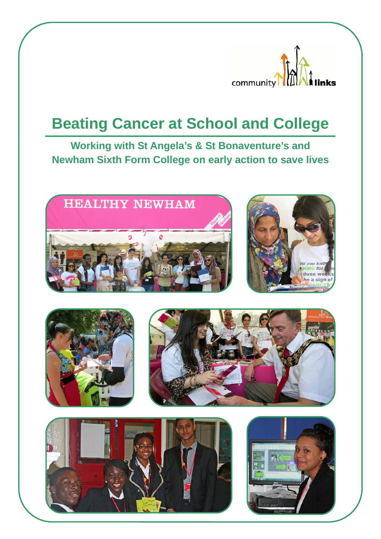

# **Beating Cancer at School and College**

**Working with St Angela's & St Bonaventure's and Newham Sixth Form College on early action to save lives** 











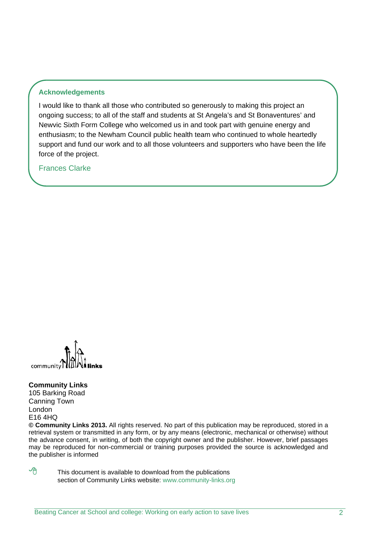## **Acknowledgements**

I would like to thank all those who contributed so generously to making this project an ongoing success; to all of the staff and students at St Angela's and St Bonaventures' and Newvic Sixth Form College who welcomed us in and took part with genuine energy and enthusiasm; to the Newham Council public health team who continued to whole heartedly support and fund our work and to all those volunteers and supporters who have been the life force of the project.

Frances Clarke



#### **Community Links**

105 Barking Road Canning Town London E16 4HQ

**© Community Links 2013.** All rights reserved. No part of this publication may be reproduced, stored in a retrieval system or transmitted in any form, or by any means (electronic, mechanical or otherwise) without the advance consent, in writing, of both the copyright owner and the publisher. However, brief passages may be reproduced for non-commercial or training purposes provided the source is acknowledged and the publisher is informed

 $\sqrt{\theta}$  This document is available to download from the publications section of Community Links website: www.community-links.org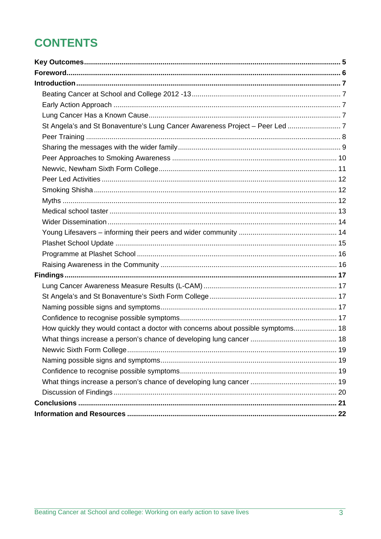## **CONTENTS**

| St Angela's and St Bonaventure's Lung Cancer Awareness Project - Peer Led  7     |  |
|----------------------------------------------------------------------------------|--|
|                                                                                  |  |
|                                                                                  |  |
|                                                                                  |  |
|                                                                                  |  |
|                                                                                  |  |
|                                                                                  |  |
|                                                                                  |  |
|                                                                                  |  |
|                                                                                  |  |
|                                                                                  |  |
|                                                                                  |  |
|                                                                                  |  |
|                                                                                  |  |
|                                                                                  |  |
|                                                                                  |  |
|                                                                                  |  |
|                                                                                  |  |
|                                                                                  |  |
| How quickly they would contact a doctor with concerns about possible symptoms 18 |  |
|                                                                                  |  |
|                                                                                  |  |
|                                                                                  |  |
|                                                                                  |  |
|                                                                                  |  |
|                                                                                  |  |
|                                                                                  |  |
|                                                                                  |  |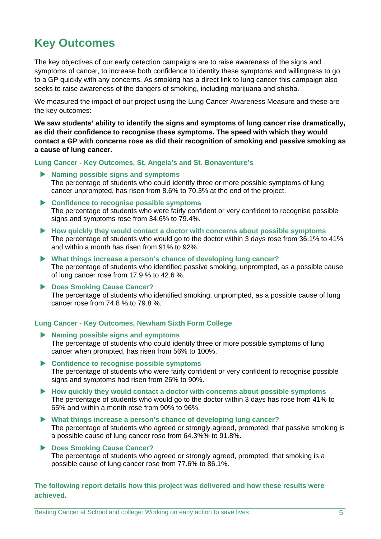## **Key Outcomes**

The key objectives of our early detection campaigns are to raise awareness of the signs and symptoms of cancer, to increase both confidence to identity these symptoms and willingness to go to a GP quickly with any concerns. As smoking has a direct link to lung cancer this campaign also seeks to raise awareness of the dangers of smoking, including marijuana and shisha.

We measured the impact of our project using the Lung Cancer Awareness Measure and these are the key outcomes:

**We saw students' ability to identify the signs and symptoms of lung cancer rise dramatically, as did their confidence to recognise these symptoms. The speed with which they would contact a GP with concerns rose as did their recognition of smoking and passive smoking as a cause of lung cancer.** 

**Lung Cancer - Key Outcomes, St. Angela's and St. Bonaventure's** 

- **Naming possible signs and symptoms**  The percentage of students who could identify three or more possible symptoms of lung cancer unprompted, has risen from 8.6% to 70.3% at the end of the project.
- **Confidence to recognise possible symptoms**  The percentage of students who were fairly confident or very confident to recognise possible signs and symptoms rose from 34.6% to 79.4%.
- **How quickly they would contact a doctor with concerns about possible symptoms**  The percentage of students who would go to the doctor within 3 days rose from 36.1% to 41% and within a month has risen from 91% to 92%.
- **What things increase a person's chance of developing lung cancer?**  The percentage of students who identified passive smoking, unprompted, as a possible cause of lung cancer rose from 17.9 % to 42.6 %.
- ▶ Does Smoking Cause Cancer? The percentage of students who identified smoking, unprompted, as a possible cause of lung cancer rose from 74.8 % to 79.8 %.

#### **Lung Cancer - Key Outcomes, Newham Sixth Form College**

- **Naming possible signs and symptoms**  The percentage of students who could identify three or more possible symptoms of lung cancer when prompted, has risen from 56% to 100%.
- **Confidence to recognise possible symptoms** The percentage of students who were fairly confident or very confident to recognise possible signs and symptoms had risen from 26% to 90%.
- **How quickly they would contact a doctor with concerns about possible symptoms** The percentage of students who would go to the doctor within 3 days has rose from 41% to 65% and within a month rose from 90% to 96%.
- **What things increase a person's chance of developing lung cancer?**  The percentage of students who agreed or strongly agreed, prompted, that passive smoking is a possible cause of lung cancer rose from 64.3%% to 91.8%.
- **Does Smoking Cause Cancer?**  The percentage of students who agreed or strongly agreed, prompted, that smoking is a possible cause of lung cancer rose from 77.6% to 86.1%.

**The following report details how this project was delivered and how these results were achieved.**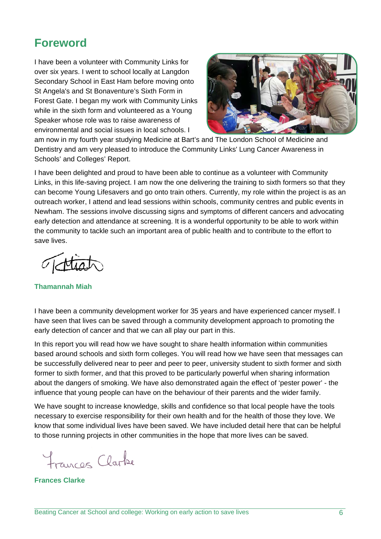## **Foreword**

I have been a volunteer with Community Links for over six years. I went to school locally at Langdon Secondary School in East Ham before moving onto St Angela's and St Bonaventure's Sixth Form in Forest Gate. I began my work with Community Links while in the sixth form and volunteered as a Young Speaker whose role was to raise awareness of environmental and social issues in local schools. I



am now in my fourth year studying Medicine at Bart's and The London School of Medicine and Dentistry and am very pleased to introduce the Community Links' Lung Cancer Awareness in Schools' and Colleges' Report.

I have been delighted and proud to have been able to continue as a volunteer with Community Links, in this life-saving project. I am now the one delivering the training to sixth formers so that they can become Young Lifesavers and go onto train others. Currently, my role within the project is as an outreach worker, I attend and lead sessions within schools, community centres and public events in Newham. The sessions involve discussing signs and symptoms of different cancers and advocating early detection and attendance at screening. It is a wonderful opportunity to be able to work within the community to tackle such an important area of public health and to contribute to the effort to save lives.

**Thamannah Miah** 

I have been a community development worker for 35 years and have experienced cancer myself. I have seen that lives can be saved through a community development approach to promoting the early detection of cancer and that we can all play our part in this.

In this report you will read how we have sought to share health information within communities based around schools and sixth form colleges. You will read how we have seen that messages can be successfully delivered near to peer and peer to peer, university student to sixth former and sixth former to sixth former, and that this proved to be particularly powerful when sharing information about the dangers of smoking. We have also demonstrated again the effect of 'pester power' - the influence that young people can have on the behaviour of their parents and the wider family.

We have sought to increase knowledge, skills and confidence so that local people have the tools necessary to exercise responsibility for their own health and for the health of those they love. We know that some individual lives have been saved. We have included detail here that can be helpful to those running projects in other communities in the hope that more lives can be saved.

Francos Clarbe

**Frances Clarke**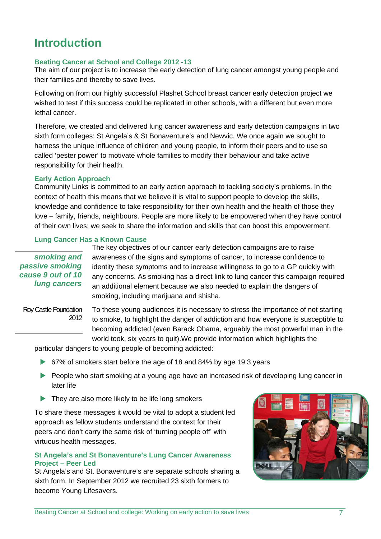## **Introduction**

#### **Beating Cancer at School and College 2012 -13**

The aim of our project is to increase the early detection of lung cancer amongst young people and their families and thereby to save lives.

Following on from our highly successful Plashet School breast cancer early detection project we wished to test if this success could be replicated in other schools, with a different but even more lethal cancer.

Therefore, we created and delivered lung cancer awareness and early detection campaigns in two sixth form colleges: St Angela's & St Bonaventure's and Newvic. We once again we sought to harness the unique influence of children and young people, to inform their peers and to use so called 'pester power' to motivate whole families to modify their behaviour and take active responsibility for their health.

#### **Early Action Approach**

Community Links is committed to an early action approach to tackling society's problems. In the context of health this means that we believe it is vital to support people to develop the skills, knowledge and confidence to take responsibility for their own health and the health of those they love – family, friends, neighbours. People are more likely to be empowered when they have control of their own lives; we seek to share the information and skills that can boost this empowerment.

## **Lung Cancer Has a Known Cause**

*smoking and passive smoking cause 9 out of 10 lung cancers*

The key objectives of our cancer early detection campaigns are to raise awareness of the signs and symptoms of cancer, to increase confidence to identity these symptoms and to increase willingness to go to a GP quickly with any concerns. As smoking has a direct link to lung cancer this campaign required an additional element because we also needed to explain the dangers of smoking, including marijuana and shisha.

Roy Castle Foundation 2012

To these young audiences it is necessary to stress the importance of not starting to smoke, to highlight the danger of addiction and how everyone is susceptible to becoming addicted (even Barack Obama, arguably the most powerful man in the world took, six years to quit).We provide information which highlights the

particular dangers to young people of becoming addicted:

- ▶ 67% of smokers start before the age of 18 and 84% by age 19.3 years
- People who start smoking at a young age have an increased risk of developing lung cancer in later life
- They are also more likely to be life long smokers

To share these messages it would be vital to adopt a student led approach as fellow students understand the context for their peers and don't carry the same risk of 'turning people off' with virtuous health messages.

#### **St Angela's and St Bonaventure's Lung Cancer Awareness Project – Peer Led**

St Angela's and St. Bonaventure's are separate schools sharing a sixth form. In September 2012 we recruited 23 sixth formers to become Young Lifesavers.

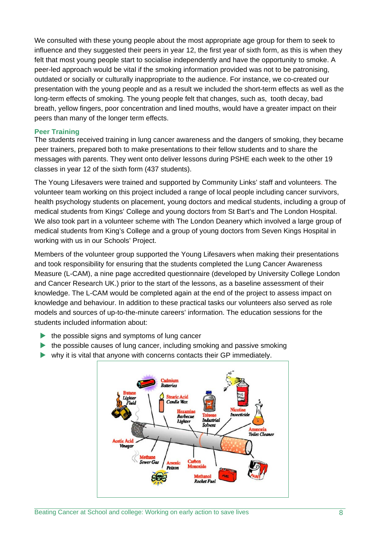We consulted with these young people about the most appropriate age group for them to seek to influence and they suggested their peers in year 12, the first year of sixth form, as this is when they felt that most young people start to socialise independently and have the opportunity to smoke. A peer-led approach would be vital if the smoking information provided was not to be patronising, outdated or socially or culturally inappropriate to the audience. For instance, we co-created our presentation with the young people and as a result we included the short-term effects as well as the long-term effects of smoking. The young people felt that changes, such as, tooth decay, bad breath, yellow fingers, poor concentration and lined mouths, would have a greater impact on their peers than many of the longer term effects.

#### **Peer Training**

The students received training in lung cancer awareness and the dangers of smoking, they became peer trainers, prepared both to make presentations to their fellow students and to share the messages with parents. They went onto deliver lessons during PSHE each week to the other 19 classes in year 12 of the sixth form (437 students).

The Young Lifesavers were trained and supported by Community Links' staff and volunteers. The volunteer team working on this project included a range of local people including cancer survivors, health psychology students on placement, young doctors and medical students, including a group of medical students from Kings' College and young doctors from St Bart's and The London Hospital. We also took part in a volunteer scheme with The London Deanery which involved a large group of medical students from King's College and a group of young doctors from Seven Kings Hospital in working with us in our Schools' Project.

Members of the volunteer group supported the Young Lifesavers when making their presentations and took responsibility for ensuring that the students completed the Lung Cancer Awareness Measure (L-CAM), a nine page accredited questionnaire (developed by University College London and Cancer Research UK.) prior to the start of the lessons, as a baseline assessment of their knowledge. The L-CAM would be completed again at the end of the project to assess impact on knowledge and behaviour. In addition to these practical tasks our volunteers also served as role models and sources of up-to-the-minute careers' information. The education sessions for the students included information about:

- $\blacktriangleright$  the possible signs and symptoms of lung cancer
- $\blacktriangleright$  the possible causes of lung cancer, including smoking and passive smoking
- why it is vital that anyone with concerns contacts their GP immediately.

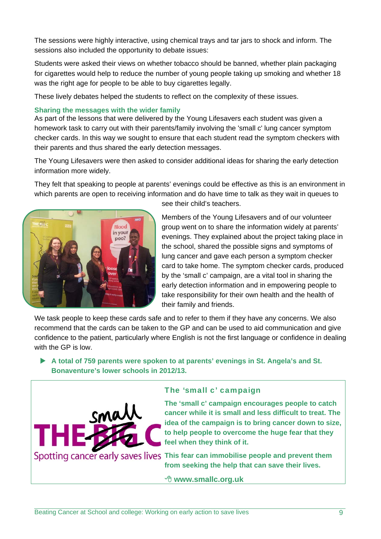The sessions were highly interactive, using chemical trays and tar jars to shock and inform. The sessions also included the opportunity to debate issues:

Students were asked their views on whether tobacco should be banned, whether plain packaging for cigarettes would help to reduce the number of young people taking up smoking and whether 18 was the right age for people to be able to buy cigarettes legally.

These lively debates helped the students to reflect on the complexity of these issues.

### **Sharing the messages with the wider family**

As part of the lessons that were delivered by the Young Lifesavers each student was given a homework task to carry out with their parents/family involving the 'small c' lung cancer symptom checker cards. In this way we sought to ensure that each student read the symptom checkers with their parents and thus shared the early detection messages.

The Young Lifesavers were then asked to consider additional ideas for sharing the early detection information more widely.

They felt that speaking to people at parents' evenings could be effective as this is an environment in which parents are open to receiving information and do have time to talk as they wait in queues to



see their child's teachers.

Members of the Young Lifesavers and of our volunteer group went on to share the information widely at parents' evenings. They explained about the project taking place in the school, shared the possible signs and symptoms of lung cancer and gave each person a symptom checker card to take home. The symptom checker cards, produced by the 'small c' campaign, are a vital tool in sharing the early detection information and in empowering people to take responsibility for their own health and the health of their family and friends.

We task people to keep these cards safe and to refer to them if they have any concerns. We also recommend that the cards can be taken to the GP and can be used to aid communication and give confidence to the patient, particularly where English is not the first language or confidence in dealing with the GP is low.

 **A total of 759 parents were spoken to at parents' evenings in St. Angela's and St. Bonaventure's lower schools in 2012/13.**



## The 'small c' campaign

**The 'small c' campaign encourages people to catch cancer while it is small and less difficult to treat. The idea of the campaign is to bring cancer down to size, to help people to overcome the huge fear that they feel when they think of it.** 

Spotting cancer early saves lives This fear can immobilise people and prevent them **from seeking the help that can save their lives.**

#### **www.smallc.org.uk**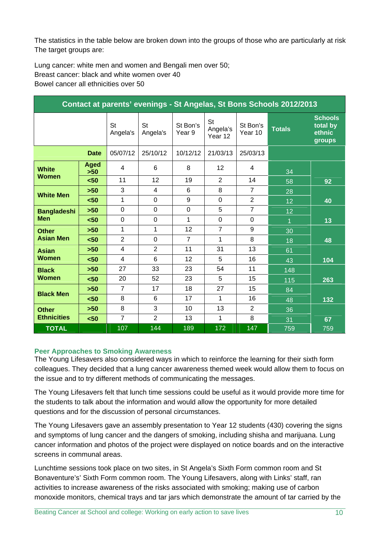The statistics in the table below are broken down into the groups of those who are particularly at risk The target groups are:

Lung cancer: white men and women and Bengali men over 50; Breast cancer: black and white women over 40 Bowel cancer all ethnicities over 50

| Contact at parents' evenings - St Angelas, St Bons Schools 2012/2013 |                      |                       |                 |                    |                           |                     |               |                                                |
|----------------------------------------------------------------------|----------------------|-----------------------|-----------------|--------------------|---------------------------|---------------------|---------------|------------------------------------------------|
|                                                                      |                      | <b>St</b><br>Angela's | St<br>Angela's  | St Bon's<br>Year 9 | St<br>Angela's<br>Year 12 | St Bon's<br>Year 10 | <b>Totals</b> | <b>Schools</b><br>total by<br>ethnic<br>groups |
| <b>Date</b>                                                          |                      | 05/07/12              | 25/10/12        | 10/12/12           | 21/03/13                  | 25/03/13            |               |                                                |
| <b>White</b><br><b>Women</b>                                         | <b>Aged</b><br>$>50$ | 4                     | 6               | 8                  | 12                        | 4                   | 34            |                                                |
|                                                                      | $50$                 | 11                    | 12 <sup>2</sup> | 19                 | $\overline{2}$            | 14                  | 58            | 92                                             |
| <b>White Men</b>                                                     | $>50$                | 3                     | 4               | 6                  | 8                         | $\overline{7}$      | 28            |                                                |
|                                                                      | $50$                 | 1                     | $\overline{0}$  | 9                  | $\mathbf 0$               | $\overline{2}$      | 12            | 40                                             |
| <b>Bangladeshi</b><br><b>Men</b>                                     | $>50$                | $\overline{0}$        | $\mathbf 0$     | $\mathbf 0$        | 5                         | $\overline{7}$      | 12            |                                                |
|                                                                      | $50$                 | $\mathbf 0$           | $\mathbf 0$     | 1                  | $\mathbf 0$               | 0                   | 1             | 13                                             |
| <b>Other</b><br><b>Asian Men</b>                                     | $>50$                | 1                     | $\mathbf{1}$    | 12                 | $\overline{7}$            | 9                   | 30            |                                                |
|                                                                      | $50$                 | $\overline{2}$        | $\overline{0}$  | $\overline{7}$     | 1                         | 8                   | 18            | 48                                             |
| <b>Asian</b><br><b>Women</b>                                         | $>50$                | $\overline{4}$        | $\overline{2}$  | 11                 | 31                        | 13                  | 61            |                                                |
|                                                                      | $50$                 | 4                     | 6               | 12                 | 5                         | 16                  | 43            | 104                                            |
| <b>Black</b><br><b>Women</b>                                         | $>50$                | 27                    | 33              | 23                 | 54                        | 11                  | 148           |                                                |
|                                                                      | 50<                  | 20                    | 52              | 23                 | 5                         | 15                  | 115           | 263                                            |
| <b>Black Men</b>                                                     | $>50$                | $\overline{7}$        | 17              | 18                 | 27                        | 15                  | 84            |                                                |
|                                                                      | $50$                 | 8                     | 6               | 17                 | 1                         | 16                  | 48            | 132                                            |
| <b>Other</b><br><b>Ethnicities</b>                                   | $>50$                | 8                     | 3               | 10                 | 13                        | $\overline{2}$      | 36            |                                                |
|                                                                      | $50$                 | $\overline{7}$        | $\overline{2}$  | 13                 | 1                         | 8                   | 31            | 67                                             |
| <b>TOTAL</b>                                                         |                      | 107                   | 144             | 189                | 172                       | 147                 | 759           | 759                                            |

## **Peer Approaches to Smoking Awareness**

The Young Lifesavers also considered ways in which to reinforce the learning for their sixth form colleagues. They decided that a lung cancer awareness themed week would allow them to focus on the issue and to try different methods of communicating the messages.

The Young Lifesavers felt that lunch time sessions could be useful as it would provide more time for the students to talk about the information and would allow the opportunity for more detailed questions and for the discussion of personal circumstances.

The Young Lifesavers gave an assembly presentation to Year 12 students (430) covering the signs and symptoms of lung cancer and the dangers of smoking, including shisha and marijuana. Lung cancer information and photos of the project were displayed on notice boards and on the interactive screens in communal areas.

Lunchtime sessions took place on two sites, in St Angela's Sixth Form common room and St Bonaventure's' Sixth Form common room. The Young Lifesavers, along with Links' staff, ran activities to increase awareness of the risks associated with smoking; making use of carbon monoxide monitors, chemical trays and tar jars which demonstrate the amount of tar carried by the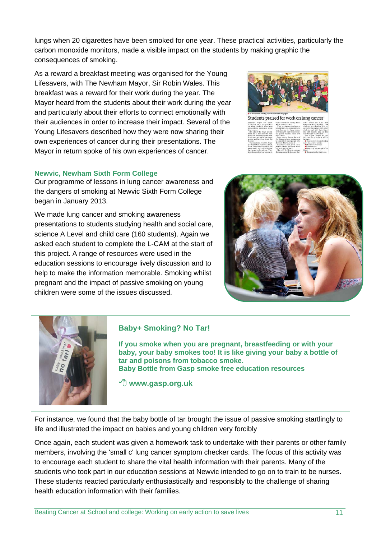lungs when 20 cigarettes have been smoked for one year. These practical activities, particularly the carbon monoxide monitors, made a visible impact on the students by making graphic the consequences of smoking.

As a reward a breakfast meeting was organised for the Young Lifesavers, with The Newham Mayor, Sir Robin Wales. This breakfast was a reward for their work during the year. The Mayor heard from the students about their work during the year and particularly about their efforts to connect emotionally with their audiences in order to increase their impact. Several of the Young Lifesavers described how they were now sharing their own experiences of cancer during their presentations. The Mayor in return spoke of his own experiences of cancer.

## **Newvic, Newham Sixth Form College**

Our programme of lessons in lung cancer awareness and the dangers of smoking at Newvic Sixth Form College began in January 2013.

We made lung cancer and smoking awareness presentations to students studying health and social care, science A Level and child care (160 students). Again we asked each student to complete the L-CAM at the start of this project. A range of resources were used in the education sessions to encourage lively discussion and to help to make the information memorable. Smoking whilst pregnant and the impact of passive smoking on young children were some of the issues discussed.



Students praised for work on lung cancer

wham Mayor Sir Robin<br>les has met a group of For-<br>Gate students who have the Year 12 stu



## **Baby+ Smoking? No Tar!**

**If you smoke when you are pregnant, breastfeeding or with your baby, your baby smokes too! It is like giving your baby a bottle of tar and poisons from tobacco smoke. Baby Bottle from Gasp smoke free education resources** 

 **www.gasp.org.uk** 

For instance, we found that the baby bottle of tar brought the issue of passive smoking startlingly to life and illustrated the impact on babies and young children very forcibly

Once again, each student was given a homework task to undertake with their parents or other family members, involving the 'small c' lung cancer symptom checker cards. The focus of this activity was to encourage each student to share the vital health information with their parents. Many of the students who took part in our education sessions at Newvic intended to go on to train to be nurses. These students reacted particularly enthusiastically and responsibly to the challenge of sharing health education information with their families.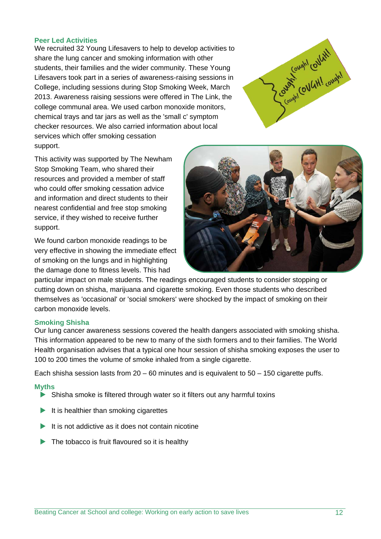#### **Peer Led Activities**

We recruited 32 Young Lifesavers to help to develop activities to share the lung cancer and smoking information with other students, their families and the wider community. These Young Lifesavers took part in a series of awareness-raising sessions in College, including sessions during Stop Smoking Week, March 2013. Awareness raising sessions were offered in The Link, the college communal area. We used carbon monoxide monitors, chemical trays and tar jars as well as the 'small c' symptom checker resources. We also carried information about local services which offer smoking cessation support.



This activity was supported by The Newham Stop Smoking Team, who shared their resources and provided a member of staff who could offer smoking cessation advice and information and direct students to their nearest confidential and free stop smoking service, if they wished to receive further support.

We found carbon monoxide readings to be very effective in showing the immediate effect of smoking on the lungs and in highlighting the damage done to fitness levels. This had



particular impact on male students. The readings encouraged students to consider stopping or cutting down on shisha, marijuana and cigarette smoking. Even those students who described themselves as 'occasional' or 'social smokers' were shocked by the impact of smoking on their carbon monoxide levels.

#### **Smoking Shisha**

Our lung cancer awareness sessions covered the health dangers associated with smoking shisha. This information appeared to be new to many of the sixth formers and to their families. The World Health organisation advises that a typical one hour session of shisha smoking exposes the user to 100 to 200 times the volume of smoke inhaled from a single cigarette.

Each shisha session lasts from  $20 - 60$  minutes and is equivalent to  $50 - 150$  cigarette puffs.

#### **Myths**

- Shisha smoke is filtered through water so it filters out any harmful toxins
- $\blacktriangleright$  It is healthier than smoking cigarettes
- $\blacktriangleright$  It is not addictive as it does not contain nicotine
- $\blacktriangleright$  The tobacco is fruit flavoured so it is healthy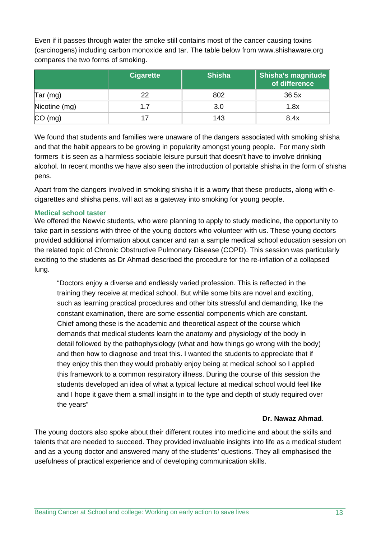Even if it passes through water the smoke still contains most of the cancer causing toxins (carcinogens) including carbon monoxide and tar. The table below from www.shishaware.org compares the two forms of smoking.

|                              | <b>Cigarette</b> | <b>Shisha</b> | Shisha's magnitude<br>of difference |
|------------------------------|------------------|---------------|-------------------------------------|
| $\textsf{Tar} (\textsf{mg})$ | 22               | 802           | 36.5x                               |
| Nicotine (mg)                | 1.7              | 3.0           | 1.8x                                |
| (mg)                         |                  | 143           | 8.4x                                |

We found that students and families were unaware of the dangers associated with smoking shisha and that the habit appears to be growing in popularity amongst young people. For many sixth formers it is seen as a harmless sociable leisure pursuit that doesn't have to involve drinking alcohol. In recent months we have also seen the introduction of portable shisha in the form of shisha pens.

Apart from the dangers involved in smoking shisha it is a worry that these products, along with ecigarettes and shisha pens, will act as a gateway into smoking for young people.

### **Medical school taster**

We offered the Newvic students, who were planning to apply to study medicine, the opportunity to take part in sessions with three of the young doctors who volunteer with us. These young doctors provided additional information about cancer and ran a sample medical school education session on the related topic of Chronic Obstructive Pulmonary Disease (COPD). This session was particularly exciting to the students as Dr Ahmad described the procedure for the re-inflation of a collapsed lung.

"Doctors enjoy a diverse and endlessly varied profession. This is reflected in the training they receive at medical school. But while some bits are novel and exciting, such as learning practical procedures and other bits stressful and demanding, like the constant examination, there are some essential components which are constant. Chief among these is the academic and theoretical aspect of the course which demands that medical students learn the anatomy and physiology of the body in detail followed by the pathophysiology (what and how things go wrong with the body) and then how to diagnose and treat this. I wanted the students to appreciate that if they enjoy this then they would probably enjoy being at medical school so I applied this framework to a common respiratory illness. During the course of this session the students developed an idea of what a typical lecture at medical school would feel like and I hope it gave them a small insight in to the type and depth of study required over the years"

### **Dr. Nawaz Ahmad**.

The young doctors also spoke about their different routes into medicine and about the skills and talents that are needed to succeed. They provided invaluable insights into life as a medical student and as a young doctor and answered many of the students' questions. They all emphasised the usefulness of practical experience and of developing communication skills.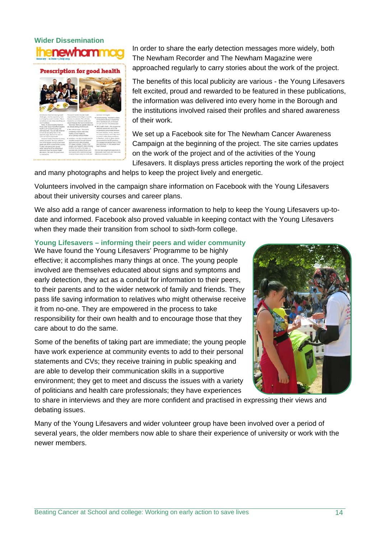## **Wider Dissemination**  enewhamn

### Prescription for good health



In order to share the early detection messages more widely, both The Newham Recorder and The Newham Magazine were approached regularly to carry stories about the work of the project.

The benefits of this local publicity are various - the Young Lifesavers felt excited, proud and rewarded to be featured in these publications, the information was delivered into every home in the Borough and the institutions involved raised their profiles and shared awareness of their work.

We set up a Facebook site for The Newham Cancer Awareness Campaign at the beginning of the project. The site carries updates on the work of the project and of the activities of the Young Lifesavers. It displays press articles reporting the work of the project

and many photographs and helps to keep the project lively and energetic.

Volunteers involved in the campaign share information on Facebook with the Young Lifesavers about their university courses and career plans.

We also add a range of cancer awareness information to help to keep the Young Lifesavers up-todate and informed. Facebook also proved valuable in keeping contact with the Young Lifesavers when they made their transition from school to sixth-form college.

## **Young Lifesavers – informing their peers and wider community**

We have found the Young Lifesavers' Programme to be highly effective; it accomplishes many things at once. The young people involved are themselves educated about signs and symptoms and early detection, they act as a conduit for information to their peers, to their parents and to the wider network of family and friends. They pass life saving information to relatives who might otherwise receive it from no-one. They are empowered in the process to take responsibility for their own health and to encourage those that they care about to do the same.

Some of the benefits of taking part are immediate; the young people have work experience at community events to add to their personal statements and CVs; they receive training in public speaking and are able to develop their communication skills in a supportive environment; they get to meet and discuss the issues with a variety of politicians and health care professionals; they have experiences



to share in interviews and they are more confident and practised in expressing their views and debating issues.

Many of the Young Lifesavers and wider volunteer group have been involved over a period of several years, the older members now able to share their experience of university or work with the newer members.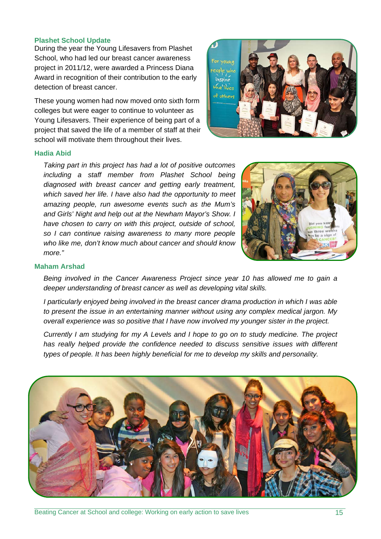#### **Plashet School Update**

During the year the Young Lifesavers from Plashet School, who had led our breast cancer awareness project in 2011/12, were awarded a Princess Diana Award in recognition of their contribution to the early detection of breast cancer.

These young women had now moved onto sixth form colleges but were eager to continue to volunteer as Young Lifesavers. Their experience of being part of a project that saved the life of a member of staff at their school will motivate them throughout their lives.



#### **Hadia Abid**

*Taking part in this project has had a lot of positive outcomes including a staff member from Plashet School being diagnosed with breast cancer and getting early treatment, which saved her life. I have also had the opportunity to meet amazing people, run awesome events such as the Mum's and Girls' Night and help out at the Newham Mayor's Show. I have chosen to carry on with this project, outside of school, so I can continue raising awareness to many more people who like me, don't know much about cancer and should know more."* 



#### **Maham Arshad**

*Being involved in the Cancer Awareness Project since year 10 has allowed me to gain a deeper understanding of breast cancer as well as developing vital skills.* 

*I particularly enjoyed being involved in the breast cancer drama production in which I was able to present the issue in an entertaining manner without using any complex medical jargon. My overall experience was so positive that I have now involved my younger sister in the project.* 

*Currently I am studying for my A Levels and I hope to go on to study medicine. The project has really helped provide the confidence needed to discuss sensitive issues with different types of people. It has been highly beneficial for me to develop my skills and personality.* 

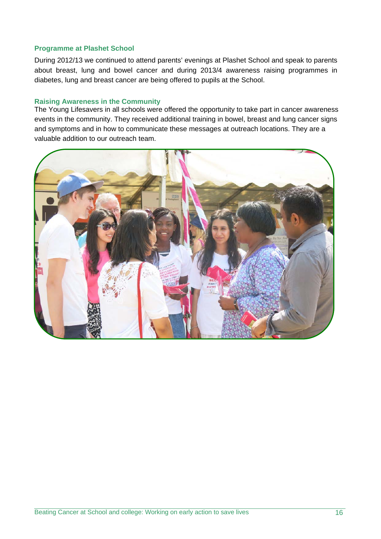#### **Programme at Plashet School**

During 2012/13 we continued to attend parents' evenings at Plashet School and speak to parents about breast, lung and bowel cancer and during 2013/4 awareness raising programmes in diabetes, lung and breast cancer are being offered to pupils at the School.

#### **Raising Awareness in the Community**

The Young Lifesavers in all schools were offered the opportunity to take part in cancer awareness events in the community. They received additional training in bowel, breast and lung cancer signs and symptoms and in how to communicate these messages at outreach locations. They are a valuable addition to our outreach team.

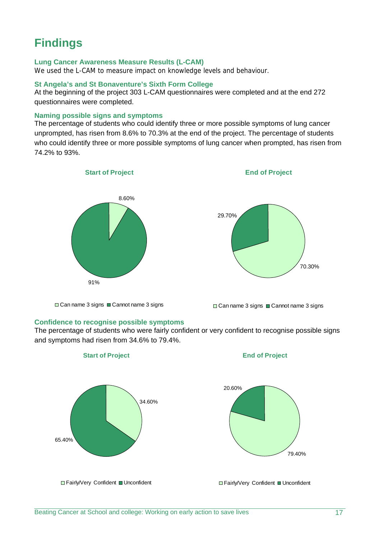## **Findings**

### **Lung Cancer Awareness Measure Results (L-CAM)**

We used the L-CAM to measure impact on knowledge levels and behaviour.

#### **St Angela's and St Bonaventure's Sixth Form College**

At the beginning of the project 303 L-CAM questionnaires were completed and at the end 272 questionnaires were completed.

#### **Naming possible signs and symptoms**

The percentage of students who could identify three or more possible symptoms of lung cancer unprompted, has risen from 8.6% to 70.3% at the end of the project. The percentage of students who could identify three or more possible symptoms of lung cancer when prompted, has risen from 74.2% to 93%.



**End of Project**



□ Can name 3 signs ■ Cannot name 3 signs

## **Confidence to recognise possible symptoms**

□ Can name 3 signs ■ Cannot name 3 signs

The percentage of students who were fairly confident or very confident to recognise possible signs and symptoms had risen from 34.6% to 79.4%.

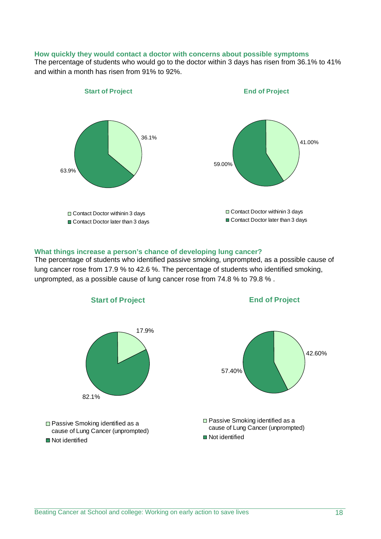#### **How quickly they would contact a doctor with concerns about possible symptoms**

The percentage of students who would go to the doctor within 3 days has risen from 36.1% to 41% and within a month has risen from 91% to 92%.



#### **What things increase a person's chance of developing lung cancer?**

The percentage of students who identified passive smoking, unprompted, as a possible cause of lung cancer rose from 17.9 % to 42.6 %. The percentage of students who identified smoking, unprompted, as a possible cause of lung cancer rose from 74.8 % to 79.8 % .

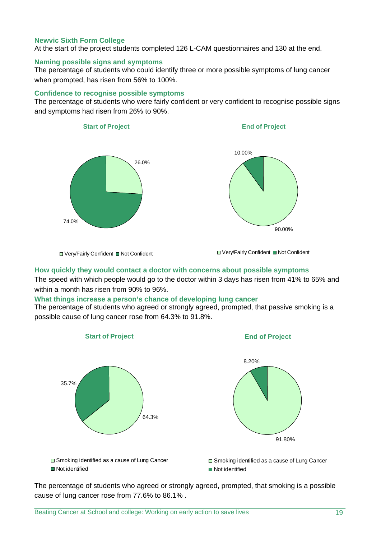#### **Newvic Sixth Form College**

At the start of the project students completed 126 L-CAM questionnaires and 130 at the end.

#### **Naming possible signs and symptoms**

The percentage of students who could identify three or more possible symptoms of lung cancer when prompted, has risen from 56% to 100%.

#### **Confidence to recognise possible symptoms**

The percentage of students who were fairly confident or very confident to recognise possible signs and symptoms had risen from 26% to 90%.



#### **How quickly they would contact a doctor with concerns about possible symptoms**

The speed with which people would go to the doctor within 3 days has risen from 41% to 65% and within a month has risen from 90% to 96%.

#### **What things increase a person's chance of developing lung cancer**

The percentage of students who agreed or strongly agreed, prompted, that passive smoking is a possible cause of lung cancer rose from 64.3% to 91.8%.



The percentage of students who agreed or strongly agreed, prompted, that smoking is a possible cause of lung cancer rose from 77.6% to 86.1% .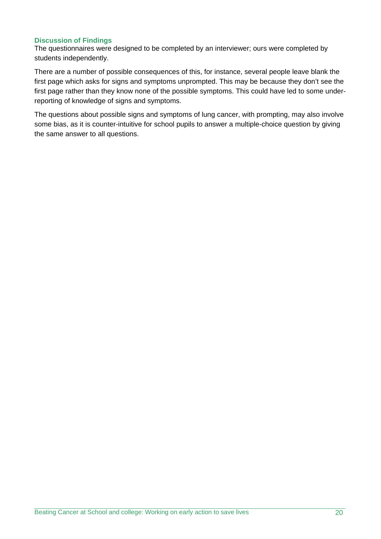### **Discussion of Findings**

The questionnaires were designed to be completed by an interviewer; ours were completed by students independently.

There are a number of possible consequences of this, for instance, several people leave blank the first page which asks for signs and symptoms unprompted. This may be because they don't see the first page rather than they know none of the possible symptoms. This could have led to some underreporting of knowledge of signs and symptoms.

The questions about possible signs and symptoms of lung cancer, with prompting, may also involve some bias, as it is counter-intuitive for school pupils to answer a multiple-choice question by giving the same answer to all questions.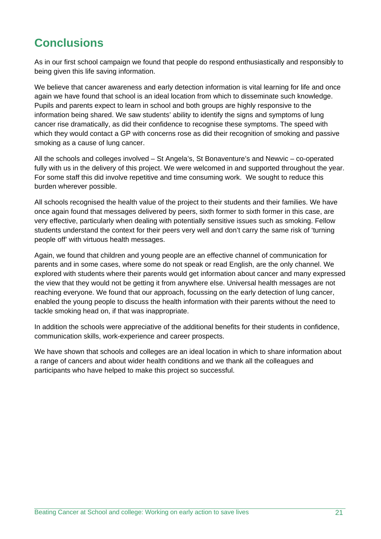## **Conclusions**

As in our first school campaign we found that people do respond enthusiastically and responsibly to being given this life saving information.

We believe that cancer awareness and early detection information is vital learning for life and once again we have found that school is an ideal location from which to disseminate such knowledge. Pupils and parents expect to learn in school and both groups are highly responsive to the information being shared. We saw students' ability to identify the signs and symptoms of lung cancer rise dramatically, as did their confidence to recognise these symptoms. The speed with which they would contact a GP with concerns rose as did their recognition of smoking and passive smoking as a cause of lung cancer.

All the schools and colleges involved – St Angela's, St Bonaventure's and Newvic – co-operated fully with us in the delivery of this project. We were welcomed in and supported throughout the year. For some staff this did involve repetitive and time consuming work. We sought to reduce this burden wherever possible.

All schools recognised the health value of the project to their students and their families. We have once again found that messages delivered by peers, sixth former to sixth former in this case, are very effective, particularly when dealing with potentially sensitive issues such as smoking. Fellow students understand the context for their peers very well and don't carry the same risk of 'turning people off' with virtuous health messages.

Again, we found that children and young people are an effective channel of communication for parents and in some cases, where some do not speak or read English, are the only channel. We explored with students where their parents would get information about cancer and many expressed the view that they would not be getting it from anywhere else. Universal health messages are not reaching everyone. We found that our approach, focussing on the early detection of lung cancer, enabled the young people to discuss the health information with their parents without the need to tackle smoking head on, if that was inappropriate.

In addition the schools were appreciative of the additional benefits for their students in confidence, communication skills, work-experience and career prospects.

We have shown that schools and colleges are an ideal location in which to share information about a range of cancers and about wider health conditions and we thank all the colleagues and participants who have helped to make this project so successful.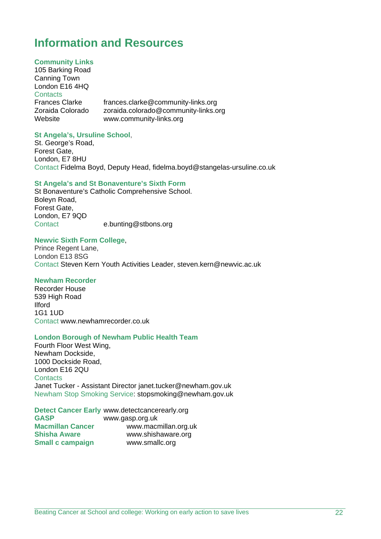## **Information and Resources**

#### **Community Links**

105 Barking Road Canning Town London E16 4HQ **Contacts** Frances Clarke frances.clarke@community-links.org<br>Zoraida Colorado zoraida colorado@community-links.c zoraida.colorado@community-links.org Website www.community-links.org

#### **St Angela's, Ursuline School**,

St. George's Road, Forest Gate, London, E7 8HU Contact Fidelma Boyd, Deputy Head, fidelma.boyd@stangelas-ursuline.co.uk

#### **St Angela's and St Bonaventure's Sixth Form**

St Bonaventure's Catholic Comprehensive School. Boleyn Road, Forest Gate, London, E7 9QD Contact e.bunting@stbons.org

#### **Newvic Sixth Form College**,

Prince Regent Lane, London E13 8SG Contact Steven Kern Youth Activities Leader, steven.kern@newvic.ac.uk

#### **Newham Recorder**

Recorder House 539 High Road Ilford 1G1 1UD Contact www.newhamrecorder.co.uk

#### **London Borough of Newham Public Health Team**

Fourth Floor West Wing, Newham Dockside, 1000 Dockside Road, London E16 2QU **Contacts** Janet Tucker - Assistant Director janet.tucker@newham.gov.uk Newham Stop Smoking Service: stopsmoking@newham.gov.uk

**Detect Cancer Early** www.detectcancerearly.org **GASP** www.gasp.org.uk **Macmillan Cancer** www.macmillan.org.uk<br>
Shisha Aware www.shishaware.org **Shisha Aware** www.shishaware.org **Small c campaign** www.smallc.org